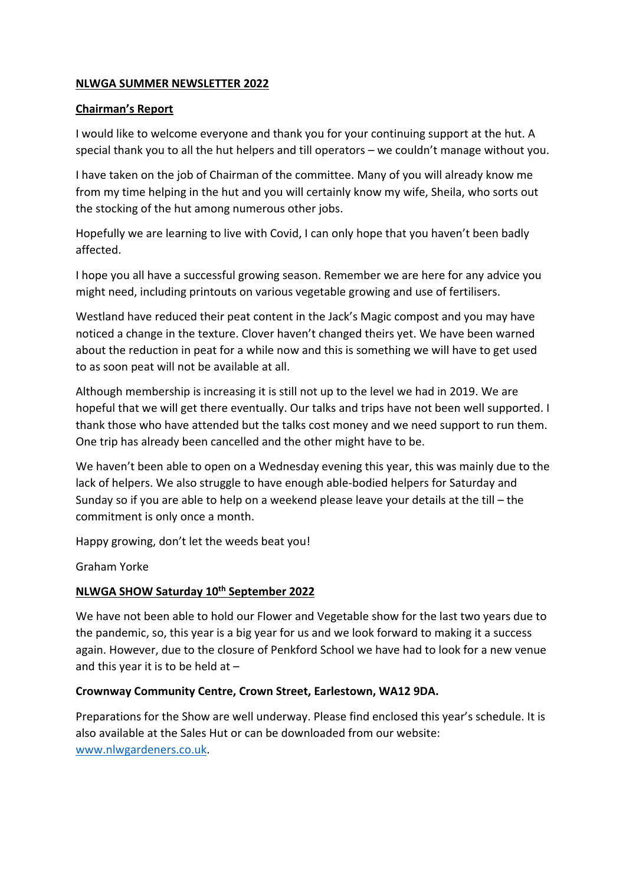### **NLWGA SUMMER NEWSLETTER 2022**

#### **Chairman's Report**

I would like to welcome everyone and thank you for your continuing support at the hut. A special thank you to all the hut helpers and till operators – we couldn't manage without you.

I have taken on the job of Chairman of the committee. Many of you will already know me from my time helping in the hut and you will certainly know my wife, Sheila, who sorts out the stocking of the hut among numerous other jobs.

Hopefully we are learning to live with Covid, I can only hope that you haven't been badly affected.

I hope you all have a successful growing season. Remember we are here for any advice you might need, including printouts on various vegetable growing and use of fertilisers.

Westland have reduced their peat content in the Jack's Magic compost and you may have noticed a change in the texture. Clover haven't changed theirs yet. We have been warned about the reduction in peat for a while now and this is something we will have to get used to as soon peat will not be available at all.

Although membership is increasing it is still not up to the level we had in 2019. We are hopeful that we will get there eventually. Our talks and trips have not been well supported. I thank those who have attended but the talks cost money and we need support to run them. One trip has already been cancelled and the other might have to be.

We haven't been able to open on a Wednesday evening this year, this was mainly due to the lack of helpers. We also struggle to have enough able‐bodied helpers for Saturday and Sunday so if you are able to help on a weekend please leave your details at the till – the commitment is only once a month.

Happy growing, don't let the weeds beat you!

Graham Yorke

#### **NLWGA SHOW Saturday 10th September 2022**

We have not been able to hold our Flower and Vegetable show for the last two years due to the pandemic, so, this year is a big year for us and we look forward to making it a success again. However, due to the closure of Penkford School we have had to look for a new venue and this year it is to be held at  $-$ 

# **Crownway Community Centre, Crown Street, Earlestown, WA12 9DA.**

Preparations for the Show are well underway. Please find enclosed this year's schedule. It is also available at the Sales Hut or can be downloaded from our website: www.nlwgardeners.co.uk.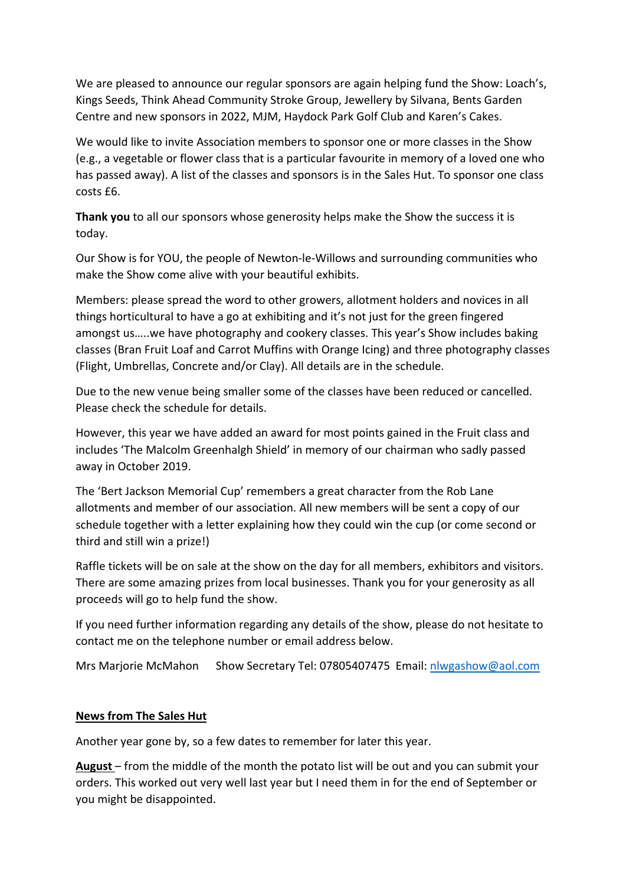We are pleased to announce our regular sponsors are again helping fund the Show: Loach's, Kings Seeds, Think Ahead Community Stroke Group, Jewellery by Silvana, Bents Garden Centre and new sponsors in 2022, MJM, Haydock Park Golf Club and Karen's Cakes.

We would like to invite Association members to sponsor one or more classes in the Show (e.g., a vegetable or flower class that is a particular favourite in memory of a loved one who has passed away). A list of the classes and sponsors is in the Sales Hut. To sponsor one class costs £6.

**Thank you** to all our sponsors whose generosity helps make the Show the success it is today.

Our Show is for YOU, the people of Newton‐le‐Willows and surrounding communities who make the Show come alive with your beautiful exhibits.

Members: please spread the word to other growers, allotment holders and novices in all things horticultural to have a go at exhibiting and it's not just for the green fingered amongst us…..we have photography and cookery classes. This year's Show includes baking classes (Bran Fruit Loaf and Carrot Muffins with Orange Icing) and three photography classes (Flight, Umbrellas, Concrete and/or Clay). All details are in the schedule.

Due to the new venue being smaller some of the classes have been reduced or cancelled. Please check the schedule for details.

However, this year we have added an award for most points gained in the Fruit class and includes 'The Malcolm Greenhalgh Shield' in memory of our chairman who sadly passed away in October 2019.

The 'Bert Jackson Memorial Cup' remembers a great character from the Rob Lane allotments and member of our association. All new members will be sent a copy of our schedule together with a letter explaining how they could win the cup (or come second or third and still win a prize!)

Raffle tickets will be on sale at the show on the day for all members, exhibitors and visitors. There are some amazing prizes from local businesses. Thank you for your generosity as all proceeds will go to help fund the show.

If you need further information regarding any details of the show, please do not hesitate to contact me on the telephone number or email address below.

Mrs Marjorie McMahon Show Secretary Tel: 07805407475 Email: nlwgashow@aol.com

# **News from The Sales Hut**

Another year gone by, so a few dates to remember for later this year.

**August** – from the middle of the month the potato list will be out and you can submit your orders. This worked out very well last year but I need them in for the end of September or you might be disappointed.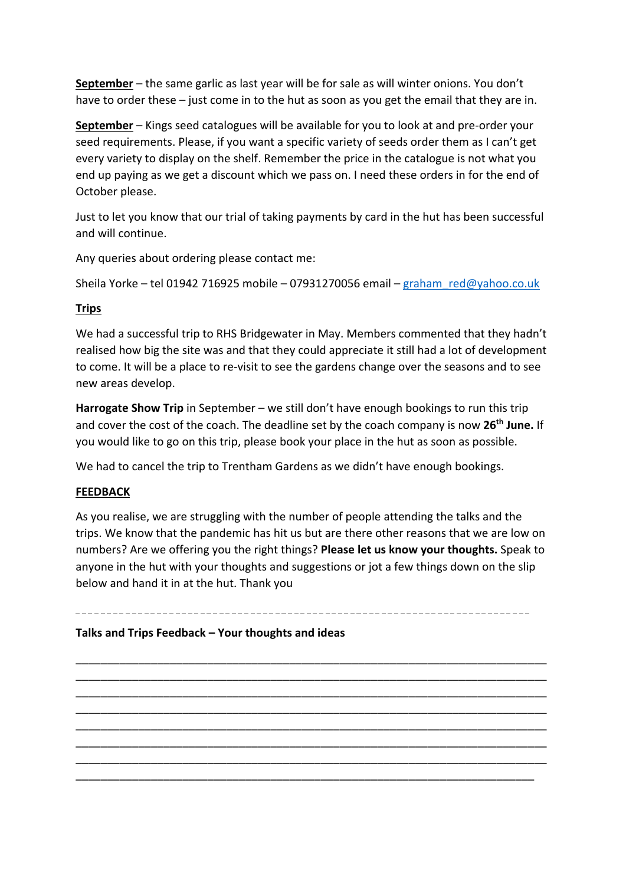**September** – the same garlic as last year will be for sale as will winter onions. You don't have to order these – just come in to the hut as soon as you get the email that they are in.

**September** – Kings seed catalogues will be available for you to look at and pre‐order your seed requirements. Please, if you want a specific variety of seeds order them as I can't get every variety to display on the shelf. Remember the price in the catalogue is not what you end up paying as we get a discount which we pass on. I need these orders in for the end of October please.

Just to let you know that our trial of taking payments by card in the hut has been successful and will continue.

Any queries about ordering please contact me:

Sheila Yorke – tel 01942 716925 mobile – 07931270056 email – graham\_red@yahoo.co.uk

# **Trips**

We had a successful trip to RHS Bridgewater in May. Members commented that they hadn't realised how big the site was and that they could appreciate it still had a lot of development to come. It will be a place to re‐visit to see the gardens change over the seasons and to see new areas develop.

**Harrogate Show Trip** in September – we still don't have enough bookings to run this trip and cover the cost of the coach. The deadline set by the coach company is now **26th June.** If you would like to go on this trip, please book your place in the hut as soon as possible.

We had to cancel the trip to Trentham Gardens as we didn't have enough bookings.

# **FEEDBACK**

As you realise, we are struggling with the number of people attending the talks and the trips. We know that the pandemic has hit us but are there other reasons that we are low on numbers? Are we offering you the right things? **Please let us know your thoughts.** Speak to anyone in the hut with your thoughts and suggestions or jot a few things down on the slip below and hand it in at the hut. Thank you

\_\_\_\_\_\_\_\_\_\_\_\_\_\_\_\_\_\_\_\_\_\_\_\_\_\_\_\_\_\_\_\_\_\_\_\_\_\_\_\_\_\_\_\_\_\_\_\_\_\_\_\_\_\_\_\_\_\_\_\_\_\_\_\_\_\_\_\_\_\_\_\_\_\_\_ \_\_\_\_\_\_\_\_\_\_\_\_\_\_\_\_\_\_\_\_\_\_\_\_\_\_\_\_\_\_\_\_\_\_\_\_\_\_\_\_\_\_\_\_\_\_\_\_\_\_\_\_\_\_\_\_\_\_\_\_\_\_\_\_\_\_\_\_\_\_\_\_\_\_\_ \_\_\_\_\_\_\_\_\_\_\_\_\_\_\_\_\_\_\_\_\_\_\_\_\_\_\_\_\_\_\_\_\_\_\_\_\_\_\_\_\_\_\_\_\_\_\_\_\_\_\_\_\_\_\_\_\_\_\_\_\_\_\_\_\_\_\_\_\_\_\_\_\_\_\_ \_\_\_\_\_\_\_\_\_\_\_\_\_\_\_\_\_\_\_\_\_\_\_\_\_\_\_\_\_\_\_\_\_\_\_\_\_\_\_\_\_\_\_\_\_\_\_\_\_\_\_\_\_\_\_\_\_\_\_\_\_\_\_\_\_\_\_\_\_\_\_\_\_\_\_ \_\_\_\_\_\_\_\_\_\_\_\_\_\_\_\_\_\_\_\_\_\_\_\_\_\_\_\_\_\_\_\_\_\_\_\_\_\_\_\_\_\_\_\_\_\_\_\_\_\_\_\_\_\_\_\_\_\_\_\_\_\_\_\_\_\_\_\_\_\_\_\_\_\_\_ \_\_\_\_\_\_\_\_\_\_\_\_\_\_\_\_\_\_\_\_\_\_\_\_\_\_\_\_\_\_\_\_\_\_\_\_\_\_\_\_\_\_\_\_\_\_\_\_\_\_\_\_\_\_\_\_\_\_\_\_\_\_\_\_\_\_\_\_\_\_\_\_\_\_\_ \_\_\_\_\_\_\_\_\_\_\_\_\_\_\_\_\_\_\_\_\_\_\_\_\_\_\_\_\_\_\_\_\_\_\_\_\_\_\_\_\_\_\_\_\_\_\_\_\_\_\_\_\_\_\_\_\_\_\_\_\_\_\_\_\_\_\_\_\_\_\_\_\_\_\_ \_\_\_\_\_\_\_\_\_\_\_\_\_\_\_\_\_\_\_\_\_\_\_\_\_\_\_\_\_\_\_\_\_\_\_\_\_\_\_\_\_\_\_\_\_\_\_\_\_\_\_\_\_\_\_\_\_\_\_\_\_\_\_\_\_\_\_\_\_\_\_\_\_

**Talks and Trips Feedback – Your thoughts and ideas**